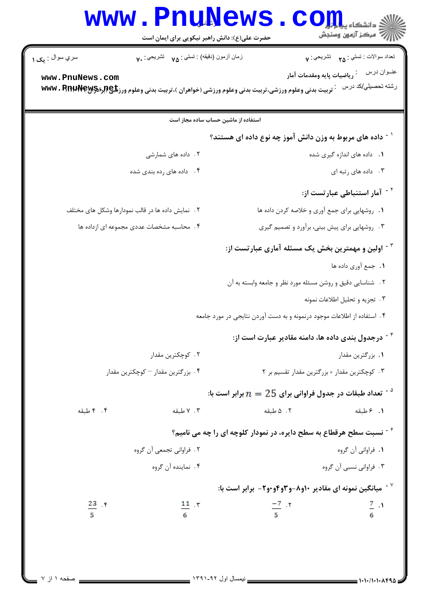## **www.PnuNews.com** حضرت علی(ع): دانش راهبر نیکویی برای ایمان است نعداد سوالات : تستبي : <sub>۲۵</sub> تشريحي : ۷ سري سوال : مک ۱ زمان أزمون (دقيقه) : تستى : v فشريحي : v. www.PnuNews.com رشته تحصیلي/کد درس : تربیت بدنی وعلوم ورزشی،تربیت بدنی وعلوم ورزشی (خواهران )،تربیت بدنی وعلوم ورزغ@www • RnuWeyy استفاده از ماشین حساب ساده مجاز است <sup>۱</sup> - داده های مربوط به وزن دانش آموز چه نوع داده ای هستند؟ ٢. داده های شمارشی **۱.** داده های اندازه گیری شده ۰۳ داده های ته ای <sup>۲ -</sup> آمار استنباطی عبارتست از: **۱**. ۱٫وشهایی برای جمع آوری و خلاصه کردن داده ها ٢. [نمايش داده ها در قالب نمودارها وشكل هاي مختلف ۴. محاسبه مشخصات عددی مجموعه ای ازداده ها ۰۳ <sub>د و</sub>شهایی برای پیش بینی، برآورد و تصمیم گیری <sup>۳ -</sup> اولین و مهمترین بخش یک مسئله آماری عبارتست از: ١. جمع آوري داده ها ۲ . شناسایی دقیق و روشن مسئله مورد نظر و جامعه وابسته به آن ۰۳ تجزیه و تحلیل اطلاعات نمونه ۴ . استفاده از اطلاعات موجود درنمونه و به دست آوردن نتايجي در مورد جامعه <sup>۴ -</sup> درجدول بندی داده ها، دامنه مقادیر عبارت است از: ۰۲ کوچکترین مقدار ۰۱ بزرگترین مقدار ۰۴ بزرگترین مقدار – کوچکترین مقدار ۰۳ کوچکترین مقدار + بزرگترین مقدار تقسیم بر ۲ تعداد طبقات در جدول فراوانی برای  $25$   $n=2$  برابر است با $^{\circ}$ ۰۴ طبقه ۰۲ طبقه ۰۳ طبقه ۰۱ ۶ طبقه  $^{\circ}$ نسبت سطح هرقطاع به سطح دایره، در نمودار کلوچه ای را چه می نامیم  $^{\circ}$ ۲ . فراوانی تجمعی آن گروه ۰۱ فراوانی آن گروه ۴. نماینده آن گروه ۰۳ فراوانی نسبی آن گروه رابر است با:  $\bullet$  میانگین نمونه ای مقادیر ۱۰و۸-و۳و۹و۰۰- برابر است با  $^{\vee}$  $\frac{-7}{5}$   $\cdot$   $\cdot$  $\frac{7}{6}$  .  $\frac{23}{1}$   $\gamma$  $\frac{11}{\pi}$   $\gamma$

 $= 1.1.11.1.1494$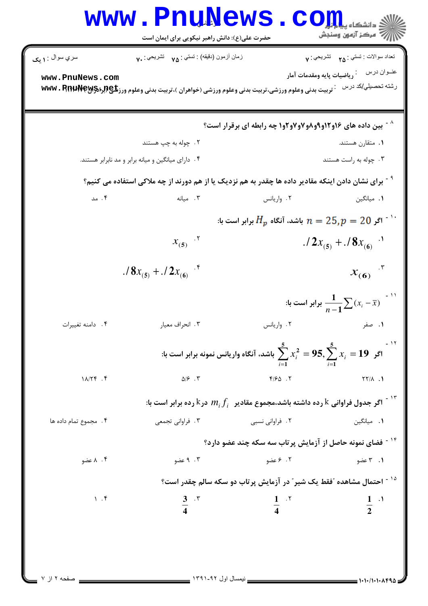| زمان أزمون (دقيقه) : تستى : ٧٥ تشريحي : ٧٠<br>سري سوال : ۱ يک<br>www.PnuNews.com<br>ົ تربیت بدنی وعلوم ورزشی،تربیت بدنی وعلوم ورزشی (خواهران )،تربیت بدنی وعلوم ورزشی MWV • RnuNewS+ با<br>۲. چوله به چپ هستند<br>۰۴ دارای میانگین و میانه برابر و مد نابرابر هستند.<br><sup>۹</sup> <sup>-</sup> برای نشان دادن اینکه مقادیر داده ها چقدر به هم نزدیک یا از هم دورند از چه ملاکی استفاده می کنیم؟<br>۰۴ مد<br>۰۳ میانه<br>$x_{(5)}$ .<br>$.78x_{(5)}+.72x_{(6)}$ .<br>۰۴ دامنه تغییرات<br>۰۳ انحراف معيار<br>اگر $x_i = 95, \sum\limits_{i=1}^5 x_i^2 = 95, \sum\limits_{i=1}^5 x_i = 19$ باشد، آنگاه واریانس نمونه برابر است با:<br>$\Delta/\mathcal{F}$ . $\Upsilon$<br>$11/179$ .<br>اگر جدول فراوانی ${\rm k}$ رده داشته باشد،مجموع مقادیر $f_i$ $m_i f_i$ در ${\rm k}$ رده برابر است با $^{\rm 1.5}$<br>۰۴ مجموع تمام داده ها<br>۰۳ فراوانی تجمعی | تعداد سوالات : تستي : <sub>۴۵</sub> تشريحي : ۷<br>رشته تحصىل <i>ي </i> كد درس<br><b>^ - بین داده های ۱۶و۱۲و۹و۹و۷و۷و۲وا چه رابطه ای برقرار است؟</b> |                 |        |        |
|---------------------------------------------------------------------------------------------------------------------------------------------------------------------------------------------------------------------------------------------------------------------------------------------------------------------------------------------------------------------------------------------------------------------------------------------------------------------------------------------------------------------------------------------------------------------------------------------------------------------------------------------------------------------------------------------------------------------------------------------------------------------------------------------------------------------------------------------------------|----------------------------------------------------------------------------------------------------------------------------------------------------|-----------------|--------|--------|
|                                                                                                                                                                                                                                                                                                                                                                                                                                                                                                                                                                                                                                                                                                                                                                                                                                                         |                                                                                                                                                    |                 |        |        |
|                                                                                                                                                                                                                                                                                                                                                                                                                                                                                                                                                                                                                                                                                                                                                                                                                                                         |                                                                                                                                                    |                 |        |        |
|                                                                                                                                                                                                                                                                                                                                                                                                                                                                                                                                                                                                                                                                                                                                                                                                                                                         |                                                                                                                                                    |                 |        |        |
|                                                                                                                                                                                                                                                                                                                                                                                                                                                                                                                                                                                                                                                                                                                                                                                                                                                         | ۰۱ متقارن هستند.                                                                                                                                   |                 |        |        |
|                                                                                                                                                                                                                                                                                                                                                                                                                                                                                                                                                                                                                                                                                                                                                                                                                                                         | ۰۳ چوله به راست هستند                                                                                                                              |                 |        |        |
|                                                                                                                                                                                                                                                                                                                                                                                                                                                                                                                                                                                                                                                                                                                                                                                                                                                         |                                                                                                                                                    |                 |        |        |
|                                                                                                                                                                                                                                                                                                                                                                                                                                                                                                                                                                                                                                                                                                                                                                                                                                                         | ۰۱ میانگین                                                                                                                                         | ۰۲ واریانس      |        |        |
|                                                                                                                                                                                                                                                                                                                                                                                                                                                                                                                                                                                                                                                                                                                                                                                                                                                         | برابر است با: $H_p$ باشد، آنگاه $H_p$ برابر است با $n=25, p=20$ $^{-1}$ .                                                                          |                 |        |        |
|                                                                                                                                                                                                                                                                                                                                                                                                                                                                                                                                                                                                                                                                                                                                                                                                                                                         | $.72x_{(5)} + .78x_{(6)}$                                                                                                                          |                 |        |        |
|                                                                                                                                                                                                                                                                                                                                                                                                                                                                                                                                                                                                                                                                                                                                                                                                                                                         | $x_{(6)}$ $x_{(6)}$                                                                                                                                |                 |        |        |
|                                                                                                                                                                                                                                                                                                                                                                                                                                                                                                                                                                                                                                                                                                                                                                                                                                                         | ا - '' برابر است با $\frac{1}{n-1}\sum (x_i - \overline{x})$ ''                                                                                    |                 |        |        |
|                                                                                                                                                                                                                                                                                                                                                                                                                                                                                                                                                                                                                                                                                                                                                                                                                                                         | ۰۱ صفر                                                                                                                                             | ۰۲ واریانس      |        |        |
|                                                                                                                                                                                                                                                                                                                                                                                                                                                                                                                                                                                                                                                                                                                                                                                                                                                         |                                                                                                                                                    |                 |        |        |
|                                                                                                                                                                                                                                                                                                                                                                                                                                                                                                                                                                                                                                                                                                                                                                                                                                                         | $YY/\lambda$ .                                                                                                                                     | $F/S\Delta$ .   |        |        |
|                                                                                                                                                                                                                                                                                                                                                                                                                                                                                                                                                                                                                                                                                                                                                                                                                                                         |                                                                                                                                                    |                 |        |        |
|                                                                                                                                                                                                                                                                                                                                                                                                                                                                                                                                                                                                                                                                                                                                                                                                                                                         | <b>۱.</b> میانگین                                                                                                                                  | ٢. فراواني نسبي |        |        |
|                                                                                                                                                                                                                                                                                                                                                                                                                                                                                                                                                                                                                                                                                                                                                                                                                                                         | <sup>۱۴ -</sup> فضای نمونه حاصل از آزمایش پرتاب سه سکه چند عضو دارد؟                                                                               |                 |        |        |
|                                                                                                                                                                                                                                                                                                                                                                                                                                                                                                                                                                                                                                                                                                                                                                                                                                                         | ۰۱ ۳ عضو                                                                                                                                           | ۲. ۶ عضو        | ۰۳ عضو | ۰۴ مضو |
| <sup>۱۵ -</sup> احتمال مشاهده ؒفقط یک شیر ؒ در آزمایش پرتاب دو سکه سالم چقدر است؟                                                                                                                                                                                                                                                                                                                                                                                                                                                                                                                                                                                                                                                                                                                                                                       |                                                                                                                                                    |                 |        |        |
| 1.5<br>$\frac{3}{4}$ $\frac{5}{4}$                                                                                                                                                                                                                                                                                                                                                                                                                                                                                                                                                                                                                                                                                                                                                                                                                      | $\frac{1}{2}$ $\frac{1}{2}$                                                                                                                        | $\frac{1}{4}$   |        |        |
|                                                                                                                                                                                                                                                                                                                                                                                                                                                                                                                                                                                                                                                                                                                                                                                                                                                         |                                                                                                                                                    |                 |        |        |
|                                                                                                                                                                                                                                                                                                                                                                                                                                                                                                                                                                                                                                                                                                                                                                                                                                                         |                                                                                                                                                    |                 |        |        |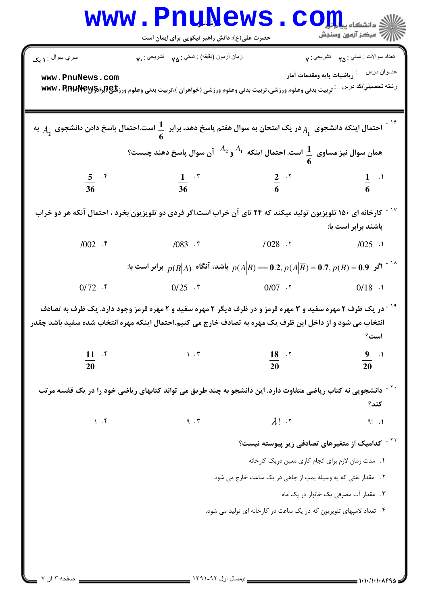|                                                                                                                                                                                                                                              | حضرت علی(ع): دانش راهبر نیکویی برای ایمان است                                                                                                                                                                                                     |                                                                      | سنجش آزمون وسنجش                                                                                                                 |  |  |  |  |
|----------------------------------------------------------------------------------------------------------------------------------------------------------------------------------------------------------------------------------------------|---------------------------------------------------------------------------------------------------------------------------------------------------------------------------------------------------------------------------------------------------|----------------------------------------------------------------------|----------------------------------------------------------------------------------------------------------------------------------|--|--|--|--|
| سري سوال : ۱ يک<br>www.PnuNews.com                                                                                                                                                                                                           | زمان أزمون (دقيقه) : تستى : ٧۵ $\gamma_{\Delta}$ نَشْرَيْحِي : ٧٠<br>تربیت بدنی وعلوم ورزشی،تربیت بدنی وعلوم ورزشی (خواهران )،تربیت بدنی وعلوم ورزگلچپ(براد۱۹۲۹ WWW . R                                                                           |                                                                      | نعداد سوالات : نستبي : <sub>٢۵</sub> نشريحي : ٧<br>عنــوان درس<br>.<br>و ياضيات پايه ومقدمات آمار <b>.</b><br>رشته تحصيلي/كد درس |  |  |  |  |
| احتمال اینکه دانشجوی $A_1$ در یک امتحان به سوال هفتم پاسخ دهد، برابر $\,\,\frac{1}{6}\,\,$ است.احتمال پاسخ دادن دانشجوی $\,A_2$ به $\,$<br>همان سوال نیز مساوی $\frac{1}{6}$ است. احتمال اینکه $A_1$ و $^{A_1}$ آن سوال پاسخ دهند چیست؟<br>6 |                                                                                                                                                                                                                                                   |                                                                      |                                                                                                                                  |  |  |  |  |
| $rac{5}{36}$ $\cdot$ $\frac{5}{36}$                                                                                                                                                                                                          | $\frac{1}{36}$ x                                                                                                                                                                                                                                  | $rac{2}{6}$ . T                                                      | $\frac{1}{6}$ $\cdot$ <sup>1</sup>                                                                                               |  |  |  |  |
|                                                                                                                                                                                                                                              | کارخانه ای ۱۵۰ تلویزیون تولید میکند که ۲۴ تای آن خراب است.اگر فردی دو تلویزیون بخرد ، احتمال آنکه هر دو خراب                                                                                                                                      |                                                                      | باشند برابر است با:                                                                                                              |  |  |  |  |
| $/002$ . ۴                                                                                                                                                                                                                                   | $/083$ . ٣                                                                                                                                                                                                                                        | $1028$ $\cdot$ $\cdot$ $1025$ $\cdot$ 1                              |                                                                                                                                  |  |  |  |  |
|                                                                                                                                                                                                                                              | و وابر است با $p(A\big \overline{B})=0.2,$ باشد، آنگاه $p(A\big \overline{B})=0.7,$ برابر است با $p(B\big A)$                                                                                                                                     |                                                                      |                                                                                                                                  |  |  |  |  |
| $0/72$ . ۴                                                                                                                                                                                                                                   |                                                                                                                                                                                                                                                   | $0/25$ * $0/07$ * $0/18$ ·                                           |                                                                                                                                  |  |  |  |  |
| $11 \cdot$                                                                                                                                                                                                                                   | <sup>۱۹ -</sup> در یک ظرف ۲ مهره سفید و ۳ مهره قرمز و در ظرف دیگر ۲ مهره سفید و ۲ مهره قرمز وجود دارد. یک ظرف به تصادف<br>انتخاب می شود و از داخل این ظرف یک مهره به تصادف خارج می کنیم.احتمال اینکه مهره انتخاب شده سفید باشد چقدر<br>$\eta$ . ۳ | $18$ $\cdot$                                                         | $\frac{9}{2}$ .                                                                                                                  |  |  |  |  |
| 20                                                                                                                                                                                                                                           |                                                                                                                                                                                                                                                   | 20                                                                   | 20                                                                                                                               |  |  |  |  |
|                                                                                                                                                                                                                                              | <sup>۲۰ -</sup> دانشجویی نه کتاب ریاضی متفاوت دارد. این دانشجو به چند طریق می تواند کتابهای ریاضی خود را در یک قفسه مرتب                                                                                                                          |                                                                      | كند؟                                                                                                                             |  |  |  |  |
| 1.5                                                                                                                                                                                                                                          | 9.7                                                                                                                                                                                                                                               | $\lambda!$ $\cdot$                                                   | $9!$ $\Lambda$                                                                                                                   |  |  |  |  |
|                                                                                                                                                                                                                                              |                                                                                                                                                                                                                                                   | <sup>۲۱ -</sup> کدامیک از متغیرهای تصادفی زیر پیوسته <u>نیست؟</u>    |                                                                                                                                  |  |  |  |  |
|                                                                                                                                                                                                                                              |                                                                                                                                                                                                                                                   | <b>۱.</b> مدت زمان لازم برای انجام کاری معین دریک کارخانه            |                                                                                                                                  |  |  |  |  |
|                                                                                                                                                                                                                                              |                                                                                                                                                                                                                                                   | ٢. مقدار نفتي كه به وسيله پمپ از چاهي در يک ساعت خارج مي شود.        |                                                                                                                                  |  |  |  |  |
|                                                                                                                                                                                                                                              |                                                                                                                                                                                                                                                   |                                                                      | ۰۳ مقدار آب مصرفی یک خانوار در یک ماه                                                                                            |  |  |  |  |
|                                                                                                                                                                                                                                              |                                                                                                                                                                                                                                                   | ۴ . تعداد لامپهای تلویزیون که در یک ساعت در کارخانه ای تولید می شود. |                                                                                                                                  |  |  |  |  |
|                                                                                                                                                                                                                                              |                                                                                                                                                                                                                                                   |                                                                      |                                                                                                                                  |  |  |  |  |
|                                                                                                                                                                                                                                              |                                                                                                                                                                                                                                                   |                                                                      |                                                                                                                                  |  |  |  |  |
|                                                                                                                                                                                                                                              |                                                                                                                                                                                                                                                   |                                                                      |                                                                                                                                  |  |  |  |  |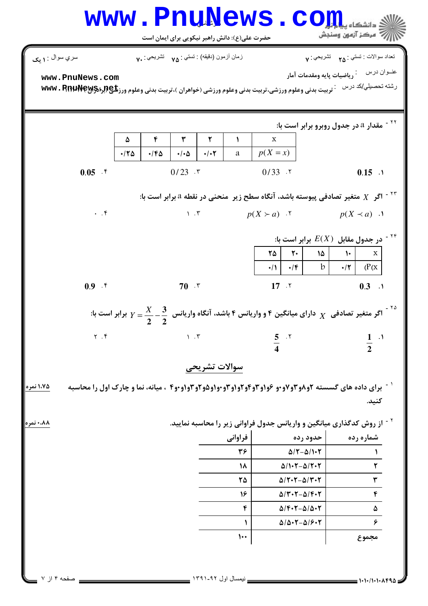|                         |                  | زمان أزمون (دقيقه) : تستي : <sub>٧۵</sub> تشريحي : <sub>٧٠</sub> |                                      |                     |                |                                                                     | تعداد سوالات : تستبي : <sub>م</sub> م       تشريحي : <sub>٧</sub>                                                                  |
|-------------------------|------------------|------------------------------------------------------------------|--------------------------------------|---------------------|----------------|---------------------------------------------------------------------|------------------------------------------------------------------------------------------------------------------------------------|
| سري سوال : ۱ يک         |                  |                                                                  |                                      |                     |                |                                                                     |                                                                                                                                    |
| www.PnuNews.com         |                  |                                                                  |                                      |                     |                |                                                                     | رشته تحصيلي/كد درس خربيت بدني وعلوم ورزشي،تربيت بدني وعلوم ورزشي (خواهران )،تربيت بدني وعلوم ورز <b>تلي (براه www ، P.p.p</b>      |
|                         |                  |                                                                  |                                      |                     |                |                                                                     |                                                                                                                                    |
|                         |                  |                                                                  |                                      |                     |                |                                                                     |                                                                                                                                    |
|                         |                  |                                                                  |                                      |                     |                |                                                                     | <sup>۲۲ -</sup> مقدار a در جدول روبرو برابر است با:                                                                                |
|                         | ۵<br>$\cdot$ /٢۵ | ۴<br>$\cdot$ /۴۵                                                 | $\mathbf{r}$<br>$\cdot/\cdot \Delta$ | ٢<br>$\cdot/\cdot7$ | $\lambda$<br>а | $\mathbf{X}$<br>$p(X = x)$                                          |                                                                                                                                    |
|                         |                  |                                                                  |                                      |                     |                |                                                                     |                                                                                                                                    |
| $0.05$ . ۴              |                  |                                                                  | $0/23$ . $\tau$                      |                     |                | $0/33$ . T                                                          | $0.15$ .                                                                                                                           |
|                         |                  |                                                                  |                                      |                     |                |                                                                     | اگر $X$ متغیر تصادفی پیوسته باشد، آنگاه سطح زیر ۖ منحنی در نقطه ۵ برابر است با: "                                                  |
| $\cdot$ $\cdot$ $\circ$ |                  |                                                                  |                                      |                     |                |                                                                     | $p(X \succ a)$ . $\uparrow$ $p(X \prec a)$ .                                                                                       |
|                         |                  |                                                                  |                                      |                     |                |                                                                     |                                                                                                                                    |
|                         |                  |                                                                  |                                      |                     |                |                                                                     | در جدول مقابل $E(X)$ برابر است با: $^{176}$                                                                                        |
|                         |                  |                                                                  |                                      |                     |                | $\mathsf{Y}\Delta$ $\mathsf{Y}\cdot$                                | $\delta$<br>$\mathbf X$<br>$\mathcal{N}$                                                                                           |
|                         |                  |                                                                  |                                      |                     |                | $\cdot$ /۴  <br>$\cdot/1$                                           | $\mathbf{b}$<br>$\cdot/\tau$ (P(x)                                                                                                 |
| 0.9.9                   |                  |                                                                  | $70$ $\cdot$ $\cdot$                 |                     |                | $17 \cdot 7$                                                        | $0.3$ .1                                                                                                                           |
|                         |                  |                                                                  |                                      |                     |                |                                                                     |                                                                                                                                    |
|                         |                  |                                                                  |                                      |                     |                |                                                                     | اگر متغیر تصادفی $\frac{1}{X}$ دارای میانگین ۴ و واریانس ۴ باشد، آنگاه واریانس $\frac{3}{2}-\frac{3}{2}-\frac{1}{2}$ برابر است با: |
|                         |                  |                                                                  |                                      |                     |                |                                                                     |                                                                                                                                    |
|                         |                  |                                                                  |                                      |                     |                |                                                                     |                                                                                                                                    |
| $Y \cdot Y$             |                  |                                                                  | $\mathcal{N}$ . $\mathcal{N}$        |                     |                | $rac{5}{4}$ . Y                                                     | $\frac{1}{2}$ .                                                                                                                    |
|                         |                  |                                                                  |                                      |                     |                |                                                                     |                                                                                                                                    |
|                         |                  |                                                                  |                                      | سوالات تشريحي       |                |                                                                     |                                                                                                                                    |
|                         |                  |                                                                  |                                      |                     |                |                                                                     | <sup>۱ -</sup> برای داده های گسسته <b>۲و۸و۳و۷و۰و ۶و۱و۳و۲و۲و۱وو۰و۴و۰و۴و۳ و۴و</b> ۰ ، میانه، نما و چارک اول را محاسبه                |
|                         |                  |                                                                  |                                      |                     |                |                                                                     | كنيد.                                                                                                                              |
|                         |                  |                                                                  |                                      |                     |                |                                                                     | <sup>۲ -</sup> از روش کدگذاری میانگین و واریانس جدول فراوانی زیر را محاسبه نمایید.                                                 |
|                         |                  |                                                                  |                                      |                     | فراواني        | حدود رده                                                            | شماره رده                                                                                                                          |
|                         |                  |                                                                  |                                      |                     | ٣۶             | $\Delta$ / $\tau$ - $\Delta$ / $\cdot$ $\tau$                       |                                                                                                                                    |
|                         |                  |                                                                  |                                      |                     | ١٨             | $\Delta/\mathbf{1}\cdot\mathbf{Y}-\Delta/\mathbf{Y}\cdot\mathbf{Y}$ | $\mathbf r$                                                                                                                        |
|                         |                  |                                                                  |                                      |                     | ٢۵             | $\Delta$ / $\tau$ · $\tau$ - $\Delta$ / $\tau$ · $\tau$             | $\pmb{\breve{r}}$                                                                                                                  |
|                         |                  |                                                                  |                                      |                     | 16             | $\Delta$ / $\Upsilon\cdot\Upsilon-\Delta$ / $\Upsilon\cdot\Upsilon$ | $\pmb{\mathfrak{r}}$                                                                                                               |
|                         |                  |                                                                  |                                      |                     | ۴              | $\Delta$ / $F - \Delta / \Delta - T$                                | $\pmb{\Delta}$                                                                                                                     |
| ۱،۷۵ نمره<br>۰٬۸۸ نمره  |                  |                                                                  |                                      |                     | 1              | $\Delta/\Delta\cdot\mathbf{Y}-\Delta/\mathbf{S}\cdot\mathbf{Y}$     | ۶                                                                                                                                  |

صفحه ۴ از ۷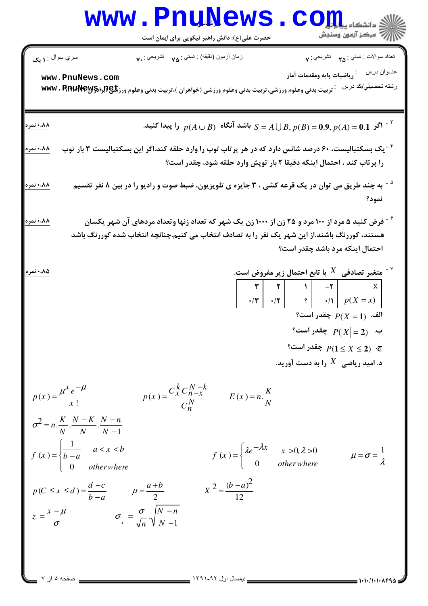## Www.PnuNews.com

| سري سوال : ۱ يک                                                                                                                                                                                                                                                                                                                                                              | زمان أزمون (دقيقه) : تستى : ٧۵٪ تشريحي : ٧٠                                                                          |                                                                       |  |                                                                                                 | تعداد سوالات : تستي : <sub>٢۵</sub> تشريحي : ٧                                                          |  |
|------------------------------------------------------------------------------------------------------------------------------------------------------------------------------------------------------------------------------------------------------------------------------------------------------------------------------------------------------------------------------|----------------------------------------------------------------------------------------------------------------------|-----------------------------------------------------------------------|--|-------------------------------------------------------------------------------------------------|---------------------------------------------------------------------------------------------------------|--|
| www.PnuNews.com                                                                                                                                                                                                                                                                                                                                                              |                                                                                                                      |                                                                       |  |                                                                                                 |                                                                                                         |  |
|                                                                                                                                                                                                                                                                                                                                                                              | <b>7 تربیت بدنی وعلوم ورزشی،تربیت بدنی وعلوم ورزشی (خواهران )،تربیت بدنی وعلوم ورز<del>یلیC</del>R1U\P@Y و WWW</b>   |                                                                       |  |                                                                                                 | رشته تحصيلي/كد درس                                                                                      |  |
|                                                                                                                                                                                                                                                                                                                                                                              |                                                                                                                      |                                                                       |  |                                                                                                 |                                                                                                         |  |
| ۰،۸۸ نمره                                                                                                                                                                                                                                                                                                                                                                    | اگر $p(A)=0.9,$ و $S=A\bigcup B,$ و $S=B\bigcup B,$ و اشد آنگاه $p(A\cup B)$ را پیدا کنید. $\mathbb{P}^{\mathsf{S}}$ |                                                                       |  |                                                                                                 |                                                                                                         |  |
| ۰،۸۸ نمره                                                                                                                                                                                                                                                                                                                                                                    | <sup>۲ -</sup> یک بسکتبالیست، ۶۰ درصد شانس دارد که در هر پر تاب توپ را وارد حلقه کند.اگر این بسکتبالیست ۳ بار توپ    |                                                                       |  |                                                                                                 |                                                                                                         |  |
|                                                                                                                                                                                                                                                                                                                                                                              |                                                                                                                      | را پرتاب کند ، احتمال اینکه دقیقا ۲ بار توپش وارد حلقه شود، چقدر است؟ |  |                                                                                                 |                                                                                                         |  |
| ۰،۸۸ نمره                                                                                                                                                                                                                                                                                                                                                                    | <sup>۵ -</sup> به چند طریق می توان در یک قرعه کشی ، ۳ جایزه ی تلویزیون، ضبط صوت و رادیو را در بین ۸ نفر تقسیم        |                                                                       |  |                                                                                                 | نمود؟                                                                                                   |  |
| ۰،۸۸ نمره                                                                                                                                                                                                                                                                                                                                                                    | <b>خ - فرض کنید ۵ مرد از ۱۰۰ مرد و ۲۵ زن از ۱۰۰۰ زن یک شهر که تعداد زنها وتعداد مردهای آن شهر یکسان</b>              |                                                                       |  |                                                                                                 |                                                                                                         |  |
|                                                                                                                                                                                                                                                                                                                                                                              | هستند، کوررنگ باشند.از این شهر یک نفر را به تصادف انتخاب می کنیم.چنانچه انتخاب شده کوررنگ باشد                       |                                                                       |  |                                                                                                 | احتمال اینکه مرد باشد چقدر است؟                                                                         |  |
|                                                                                                                                                                                                                                                                                                                                                                              |                                                                                                                      |                                                                       |  |                                                                                                 |                                                                                                         |  |
| ۰،۸۵ نمره                                                                                                                                                                                                                                                                                                                                                                    |                                                                                                                      |                                                                       |  |                                                                                                 | ت متغیر تصادفی $X$ با تابع احتمال زیر مفروض است. $^\vee$                                                |  |
|                                                                                                                                                                                                                                                                                                                                                                              |                                                                                                                      |                                                                       |  |                                                                                                 | $\mathbf{r}$ $\mathbf{r}$ $\mathbf{v}$ $\mathbf{v}$ $\mathbf{v}$ $\mathbf{r}$ $\mathbf{r}$ $\mathbf{v}$ |  |
|                                                                                                                                                                                                                                                                                                                                                                              |                                                                                                                      |                                                                       |  |                                                                                                 | الف. $P(X = 1)$ چقدر است؟                                                                               |  |
|                                                                                                                                                                                                                                                                                                                                                                              |                                                                                                                      |                                                                       |  |                                                                                                 | $P( X =2)$ جقدر است؟                                                                                    |  |
|                                                                                                                                                                                                                                                                                                                                                                              |                                                                                                                      |                                                                       |  |                                                                                                 | $?$ : $P(1 \leq X \leq 2)$ چقدر است $P(1 \leq X \leq 2)$                                                |  |
|                                                                                                                                                                                                                                                                                                                                                                              |                                                                                                                      |                                                                       |  |                                                                                                 | د. امید ریاضی $X$ را به دست آورید.                                                                      |  |
| $p(x) = \frac{\mu^x e^{-\mu}}{x!}$<br>$\sigma^2 = n \cdot \frac{K}{N} \cdot \frac{N-K}{N} \cdot \frac{N-n}{N-1}$<br>$f(x) = \begin{cases} \frac{1}{b-a} & a < x < b \\ 0 & otherwise \end{cases}$<br>$p(C \le x \le d) = \frac{d-c}{b-a}$ $\mu = \frac{a+b}{2}$<br>$z = \frac{x - \mu}{\sigma}$ $\sigma_{\overline{x}} = \frac{\sigma}{\sqrt{n}} \sqrt{\frac{N - n}{N - 1}}$ | $p(x) = \frac{C_{x}^{K} C_{n-x}^{N} }{C_{x}^{N}}$ $E(x) = n \cdot \frac{K}{N}$                                       | $X^{2} = \frac{(b-a)^{2}}{12}$                                        |  | $f(x) = \begin{cases} \lambda e^{-\lambda x} & x > 0, \lambda > 0 \\ 0 & otherwise \end{cases}$ | $\mu = \sigma = \frac{1}{\lambda}$                                                                      |  |
| مفحه ۵ از ۷                                                                                                                                                                                                                                                                                                                                                                  |                                                                                                                      | نیمسال اول ۹۲ـ۱۳۹۱                                                    |  |                                                                                                 |                                                                                                         |  |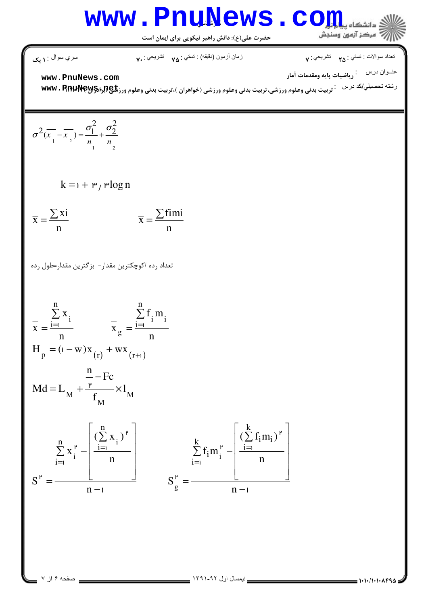## Www.PnuNews.com

$$
\begin{array}{ll}\n\hline\n\textbf{C}_{1} : \bigcup_{x} \mathcal{L}_{Y} : \bigcup_{x} \mathcal{L}_{Y} : \bigcup_{x} \mathcal{L}_{Y} : \bigcup_{x} \mathcal{L}_{Y} : \bigcup_{x} \mathcal{L}_{Y} : \bigcup_{x} \mathcal{L}_{Y} : \bigcup_{x} \mathcal{L}_{Y} : \bigcup_{x} \mathcal{L}_{Y} : \bigcup_{x} \mathcal{L}_{Y} : \bigcup_{x} \mathcal{L}_{Y} : \bigcup_{x} \mathcal{L}_{Y} : \bigcup_{x} \mathcal{L}_{Y} : \bigcup_{x} \mathcal{L}_{Y} : \bigcup_{x} \mathcal{L}_{Y} : \bigcup_{x} \mathcal{L}_{Y} : \bigcup_{x} \mathcal{L}_{Y} : \bigcup_{x} \mathcal{L}_{Y} : \bigcup_{x} \mathcal{L}_{Y} : \bigcup_{x} \mathcal{L}_{Y} : \bigcup_{x} \mathcal{L}_{Y} : \bigcup_{x} \mathcal{L}_{Y} : \bigcup_{x} \mathcal{L}_{Y} : \bigcup_{x} \mathcal{L}_{Y} : \bigcup_{x} \mathcal{L}_{Y} : \bigcup_{x} \mathcal{L}_{Y} : \bigcup_{x} \mathcal{L}_{Y} : \bigcup_{x} \mathcal{L}_{Y} : \bigcup_{x} \mathcal{L}_{Y} : \bigcup_{x} \mathcal{L}_{Y} : \bigcup_{x} \mathcal{L}_{Y} : \bigcup_{x} \mathcal{L}_{Y} : \bigcup_{x} \mathcal{L}_{Y} : \bigcup_{x} \mathcal{L}_{Y} : \bigcup_{x} \mathcal{L}_{Y} : \bigcup_{x} \mathcal{L}_{Y} : \bigcup_{x} \mathcal{L}_{Y} : \bigcup_{x} \mathcal{L}_{Y} : \bigcup_{x} \mathcal{L}_{Y} : \bigcup_{x} \mathcal{L}_{Y} : \bigcup_{x} \mathcal{L}_{Y} : \bigcup_{x} \mathcal{L}_{Y} : \bigcup_{x} \mathcal{L}_{Y} : \bigcup_{x} \mathcal{L}_{Y} : \bigcup_{x} \mathcal{L}_{Y} : \bigcup_{x} \mathcal{L}_{Y} : \bigcup_{x} \mathcal{L}_{Y} : \bigcup_{x} \mathcal{L}_{Y} : \bigcup_{x} \mathcal{L}_{Y} : \bigcup_{x} \mathcal{L}_{Y} : \bigcup_{
$$